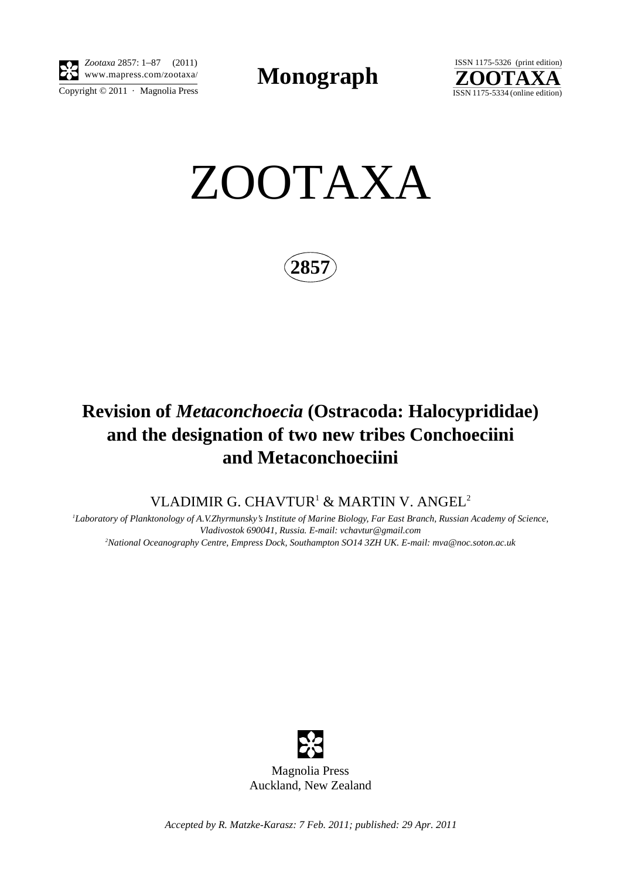

Copyright  $\odot$  2011 · Magnolia Press *Zootaxa* 2857: 1–87 (2011)

**Monograph** 



ZOOTAXA

**2857**

## **Revision of** *Metaconchoecia* **(Ostracoda: Halocyprididae) and the designation of two new tribes Conchoeciini and Metaconchoeciini**

VLADIMIR G. CHAVTUR $^1$  & MARTIN V. ANGEL $^2$ 

*1 Laboratory of Planktonology of A.V.Zhyrmunsky's Institute of Marine Biology, Far East Branch, Russian Academy of Science, Vladivostok 690041, Russia. E-mail: vchavtur@gmail.com 2 National Oceanography Centre, Empress Dock, Southampton SO14 3ZH UK. E-mail: mva@noc.soton.ac.uk*



*Accepted by R. Matzke-Karasz: 7 Feb. 2011; published: 29 Apr. 2011*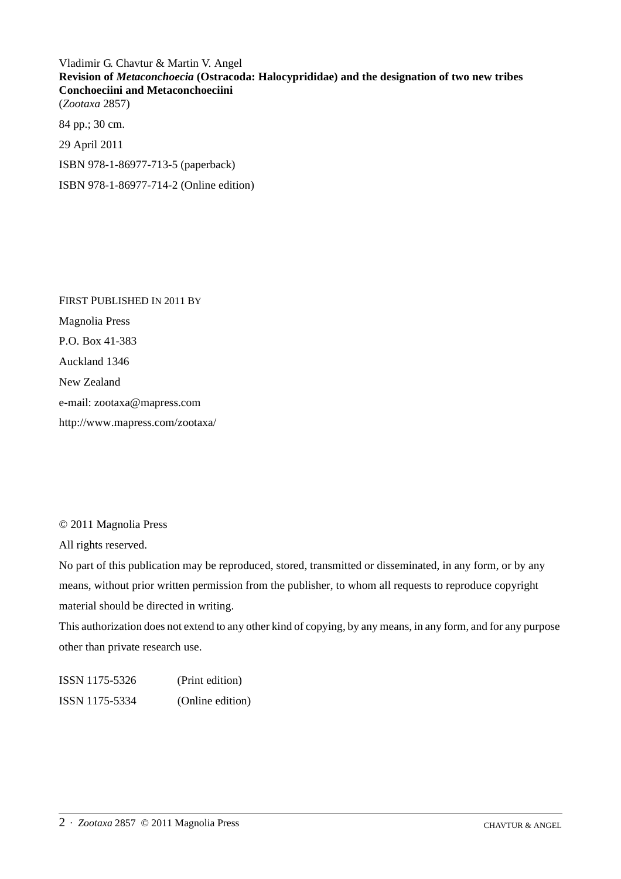Vladimir G. Chavtur & Martin V. Angel **Revision of** *Metaconchoecia* **(Ostracoda: Halocyprididae) and the designation of two new tribes Conchoeciini and Metaconchoeciini** (*Zootaxa* 2857)

84 pp.; 30 cm. 29 April 2011 ISBN 978-1-86977-713-5 (paperback) ISBN 978-1-86977-714-2 (Online edition)

FIRST PUBLISHED IN 2011 BY Magnolia Press P.O. Box 41-383 Auckland 1346 New Zealand e-mail: zootaxa@mapress.com http://www.mapress.com/zootaxa/

© 2011 Magnolia Press

All rights reserved.

No part of this publication may be reproduced, stored, transmitted or disseminated, in any form, or by any means, without prior written permission from the publisher, to whom all requests to reproduce copyright material should be directed in writing.

This authorization does not extend to any other kind of copying, by any means, in any form, and for any purpose other than private research use.

ISSN 1175-5326 (Print edition) ISSN 1175-5334 (Online edition)